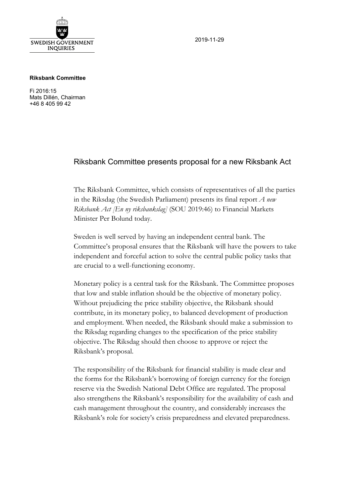

2019-11-29

## **Riksbank Committee**

Fi 2016:15 Mats Dillén, Chairman +46 8 405 99 42

## Riksbank Committee presents proposal for a new Riksbank Act

The Riksbank Committee, which consists of representatives of all the parties in the Riksdag (the Swedish Parliament) presents its final report *A new Riksbank Act [En ny riksbankslag]* (SOU 2019:46) to Financial Markets Minister Per Bolund today.

Sweden is well served by having an independent central bank. The Committee's proposal ensures that the Riksbank will have the powers to take independent and forceful action to solve the central public policy tasks that are crucial to a well-functioning economy.

Monetary policy is a central task for the Riksbank. The Committee proposes that low and stable inflation should be the objective of monetary policy. Without prejudicing the price stability objective, the Riksbank should contribute, in its monetary policy, to balanced development of production and employment. When needed, the Riksbank should make a submission to the Riksdag regarding changes to the specification of the price stability objective. The Riksdag should then choose to approve or reject the Riksbank's proposal.

The responsibility of the Riksbank for financial stability is made clear and the forms for the Riksbank's borrowing of foreign currency for the foreign reserve via the Swedish National Debt Office are regulated. The proposal also strengthens the Riksbank's responsibility for the availability of cash and cash management throughout the country, and considerably increases the Riksbank's role for society's crisis preparedness and elevated preparedness.